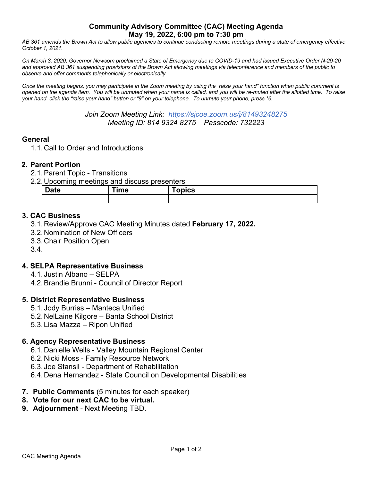#### **Community Advisory Committee (CAC) Meeting Agenda May 19, 2022, 6:00 pm to 7:30 pm**

*AB 361 amends the Brown Act to allow public agencies to continue conducting remote meetings during a state of emergency effective October 1, 2021.*

*On March 3, 2020, Governor Newsom proclaimed a State of Emergency due to COVID-19 and had issued Executive Order N-29-20 and approved AB 361 suspending provisions of the Brown Act allowing meetings via teleconference and members of the public to observe and offer comments telephonically or electronically.*

*Once the meeting begins, you may participate in the Zoom meeting by using the "raise your hand" function when public comment is opened on the agenda item. You will be unmuted when your name is called, and you will be re-muted after the allotted time. To raise your hand, click the "raise your hand" button or "9" on your telephone. To unmute your phone, press \*6.*

> *Join Zoom Meeting Link: https://sjcoe.zoom.us/j/81493248275 Meeting ID: 814 9324 8275 Passcode: 732223*

# **General**

1.1.Call to Order and Introductions

# **2. Parent Portion**

- 2.1.Parent Topic Transitions
- 2.2.Upcoming meetings and discuss presenters

| $\sim$ $\sim$ $\sim$<br>Dale | was a c<br>ïme | opics |
|------------------------------|----------------|-------|
|                              |                |       |

## **3. CAC Business**

- 3.1.Review/Approve CAC Meeting Minutes dated **February 17, 2022.**
- 3.2.Nomination of New Officers
- 3.3.Chair Position Open
- 3.4.

## **4. SELPA Representative Business**

- 4.1. Justin Albano SELPA
- 4.2.Brandie Brunni Council of Director Report

## **5. District Representative Business**

- 5.1. Jody Burriss Manteca Unified
- 5.2.NelLaine Kilgore Banta School District
- 5.3.Lisa Mazza Ripon Unified

## **6. Agency Representative Business**

- 6.1.Danielle Wells Valley Mountain Regional Center
- 6.2.Nicki Moss Family Resource Network
- 6.3. Joe Stansil Department of Rehabilitation
- 6.4.Dena Hernandez State Council on Developmental Disabilities
- **7. Public Comments** (5 minutes for each speaker)
- **8. Vote for our next CAC to be virtual.**
- **9. Adjournment** Next Meeting TBD.